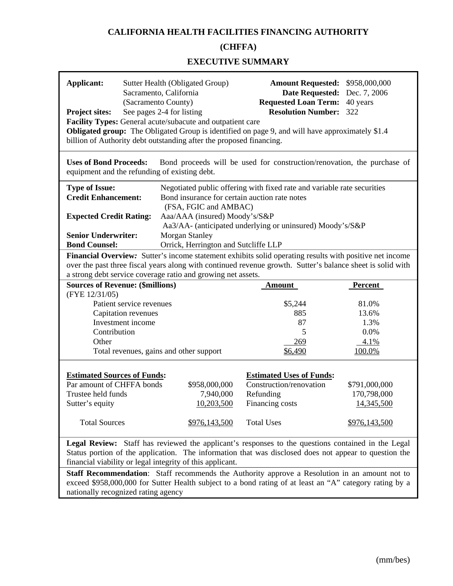# **CALIFORNIA HEALTH FACILITIES FINANCING AUTHORITY**

# **(CHFFA)**

#### **EXECUTIVE SUMMARY**

| Sutter Health (Obligated Group)<br>Applicant:<br>Sacramento, California<br>(Sacramento County)<br>See pages 2-4 for listing<br><b>Project sites:</b><br>Facility Types: General acute/subacute and outpatient care<br><b>Obligated group:</b> The Obligated Group is identified on page 9, and will have approximately \$1.4<br>billion of Authority debt outstanding after the proposed financing.                                                                                                                                |                                                                                                                                                            |                                                                                                                                                                                                                                                                          | Amount Requested: \$958,000,000<br><b>Date Requested:</b><br>Dec. 7, 2006<br><b>Requested Loan Term:</b><br>40 years<br><b>Resolution Number:</b><br>322 |                                                             |  |  |  |
|------------------------------------------------------------------------------------------------------------------------------------------------------------------------------------------------------------------------------------------------------------------------------------------------------------------------------------------------------------------------------------------------------------------------------------------------------------------------------------------------------------------------------------|------------------------------------------------------------------------------------------------------------------------------------------------------------|--------------------------------------------------------------------------------------------------------------------------------------------------------------------------------------------------------------------------------------------------------------------------|----------------------------------------------------------------------------------------------------------------------------------------------------------|-------------------------------------------------------------|--|--|--|
| <b>Uses of Bond Proceeds:</b><br>Bond proceeds will be used for construction/renovation, the purchase of<br>equipment and the refunding of existing debt.                                                                                                                                                                                                                                                                                                                                                                          |                                                                                                                                                            |                                                                                                                                                                                                                                                                          |                                                                                                                                                          |                                                             |  |  |  |
| <b>Type of Issue:</b><br><b>Credit Enhancement:</b><br><b>Expected Credit Rating:</b><br><b>Senior Underwriter:</b><br><b>Bond Counsel:</b>                                                                                                                                                                                                                                                                                                                                                                                        |                                                                                                                                                            | Negotiated public offering with fixed rate and variable rate securities<br>Bond insurance for certain auction rate notes<br>(FSA, FGIC and AMBAC)<br>Aaa/AAA (insured) Moody's/S&P<br>Aa3/AA- (anticipated underlying or uninsured) Moody's/S&P<br><b>Morgan Stanley</b> |                                                                                                                                                          |                                                             |  |  |  |
| Orrick, Herrington and Sutcliffe LLP<br>Financial Overview: Sutter's income statement exhibits solid operating results with positive net income<br>over the past three fiscal years along with continued revenue growth. Sutter's balance sheet is solid with<br>a strong debt service coverage ratio and growing net assets.                                                                                                                                                                                                      |                                                                                                                                                            |                                                                                                                                                                                                                                                                          |                                                                                                                                                          |                                                             |  |  |  |
| (FYE 12/31/05)<br>Contribution<br>Other                                                                                                                                                                                                                                                                                                                                                                                                                                                                                            | <b>Sources of Revenue: (\$millions)</b><br>Patient service revenues<br>Capitation revenues<br>Investment income<br>Total revenues, gains and other support |                                                                                                                                                                                                                                                                          | <b>Amount</b><br>\$5,244<br>885<br>87<br>5<br>269<br>\$6,490                                                                                             | Percent<br>81.0%<br>13.6%<br>1.3%<br>0.0%<br>4.1%<br>100.0% |  |  |  |
| <b>Estimated Sources of Funds:</b><br>Par amount of CHFFA bonds<br>Trustee held funds<br>Sutter's equity<br><b>Total Sources</b>                                                                                                                                                                                                                                                                                                                                                                                                   |                                                                                                                                                            | \$958,000,000<br>7,940,000<br>10,203,500<br>\$976,143,500                                                                                                                                                                                                                | <b>Estimated Uses of Funds:</b><br>Construction/renovation<br>Refunding<br>Financing costs<br><b>Total Uses</b>                                          | \$791,000,000<br>170,798,000<br>14,345,500<br>\$976,143,500 |  |  |  |
| Legal Review: Staff has reviewed the applicant's responses to the questions contained in the Legal<br>Status portion of the application. The information that was disclosed does not appear to question the<br>financial viability or legal integrity of this applicant.<br><b>Staff Recommendation:</b> Staff recommends the Authority approve a Resolution in an amount not to<br>exceed \$958,000,000 for Sutter Health subject to a bond rating of at least an "A" category rating by a<br>nationally recognized rating agency |                                                                                                                                                            |                                                                                                                                                                                                                                                                          |                                                                                                                                                          |                                                             |  |  |  |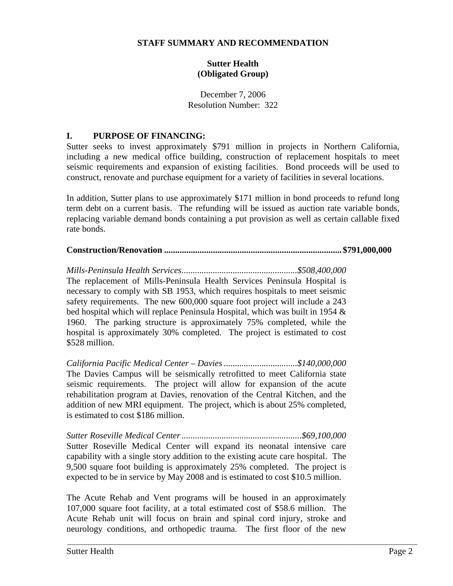#### **STAFF SUMMARY AND RECOMMENDATION**

# **Sutter Health (Obligated Group)**

December 7, 2006 Resolution Number: 322

#### **I. PURPOSE OF FINANCING:**

Sutter seeks to invest approximately \$791 million in projects in Northern California, including a new medical office building, construction of replacement hospitals to meet seismic requirements and expansion of existing facilities. Bond proceeds will be used to construct, renovate and purchase equipment for a variety of facilities in several locations.

In addition, Sutter plans to use approximately \$171 million in bond proceeds to refund long term debt on a current basis. The refunding will be issued as auction rate variable bonds, replacing variable demand bonds containing a put provision as well as certain callable fixed rate bonds.

# **Construction/Renovation ................................................................................ \$791,000,000**

*Mills-Peninsula Health Services....................................................\$508,400,000*  The replacement of Mills-Peninsula Health Services Peninsula Hospital is necessary to comply with SB 1953, which requires hospitals to meet seismic safety requirements. The new 600,000 square foot project will include a 243 bed hospital which will replace Peninsula Hospital, which was built in 1954 & 1960. The parking structure is approximately 75% completed, while the hospital is approximately 30% completed. The project is estimated to cost \$528 million.

*California Pacific Medical Center – Davies .................................\$140,000,000*  The Davies Campus will be seismically retrofitted to meet California state seismic requirements. The project will allow for expansion of the acute rehabilitation program at Davies, renovation of the Central Kitchen, and the addition of new MRI equipment. The project, which is about 25% completed, is estimated to cost \$186 million.

*Sutter Roseville Medical Center ......................................................\$69,100,000*  Sutter Roseville Medical Center will expand its neonatal intensive care capability with a single story addition to the existing acute care hospital. The 9,500 square foot building is approximately 25% completed. The project is expected to be in service by May 2008 and is estimated to cost \$10.5 million.

The Acute Rehab and Vent programs will be housed in an approximately 107,000 square foot facility, at a total estimated cost of \$58.6 million. The Acute Rehab unit will focus on brain and spinal cord injury, stroke and neurology conditions, and orthopedic trauma. The first floor of the new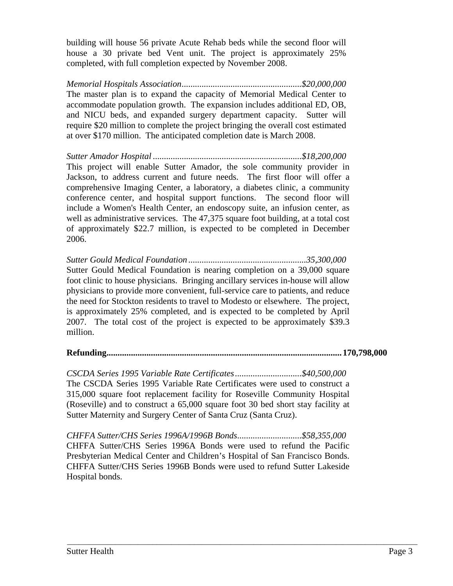building will house 56 private Acute Rehab beds while the second floor will house a 30 private bed Vent unit. The project is approximately 25% completed, with full completion expected by November 2008.

*Memorial Hospitals Association......................................................\$20,000,000*  The master plan is to expand the capacity of Memorial Medical Center to accommodate population growth. The expansion includes additional ED, OB, and NICU beds, and expanded surgery department capacity. Sutter will require \$20 million to complete the project bringing the overall cost estimated at over \$170 million. The anticipated completion date is March 2008.

*Sutter Amador Hospital ...................................................................\$18,200,000*  This project will enable Sutter Amador, the sole community provider in Jackson, to address current and future needs. The first floor will offer a comprehensive Imaging Center, a laboratory, a diabetes clinic, a community conference center, and hospital support functions. The second floor will include a Women's Health Center, an endoscopy suite, an infusion center, as well as administrative services. The 47,375 square foot building, at a total cost of approximately \$22.7 million, is expected to be completed in December 2006.

*Sutter Gould Medical Foundation .....................................................35,300,000*  Sutter Gould Medical Foundation is nearing completion on a 39,000 square foot clinic to house physicians. Bringing ancillary services in-house will allow physicians to provide more convenient, full-service care to patients, and reduce the need for Stockton residents to travel to Modesto or elsewhere. The project, is approximately 25% completed, and is expected to be completed by April 2007. The total cost of the project is expected to be approximately \$39.3 million.

# **Refunding.......................................................................................................... 170,798,000**

*CSCDA Series 1995 Variable Rate Certificates ..............................\$40,500,000*  The CSCDA Series 1995 Variable Rate Certificates were used to construct a 315,000 square foot replacement facility for Roseville Community Hospital (Roseville) and to construct a 65,000 square foot 30 bed short stay facility at Sutter Maternity and Surgery Center of Santa Cruz (Santa Cruz).

*CHFFA Sutter/CHS Series 1996A/1996B Bonds.............................\$58,355,000*  CHFFA Sutter/CHS Series 1996A Bonds were used to refund the Pacific Presbyterian Medical Center and Children's Hospital of San Francisco Bonds. CHFFA Sutter/CHS Series 1996B Bonds were used to refund Sutter Lakeside Hospital bonds.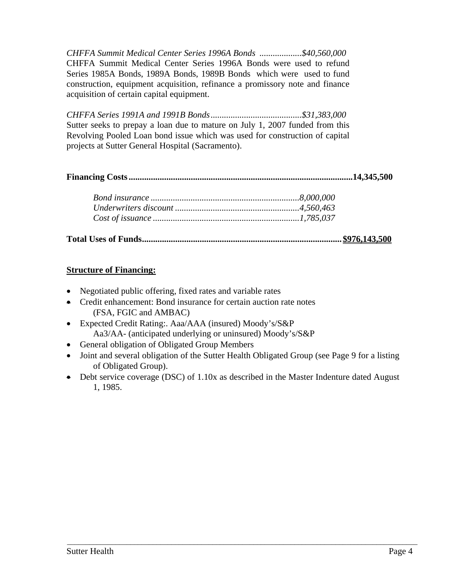*CHFFA Summit Medical Center Series 1996A Bonds ...................\$40,560,000*  CHFFA Summit Medical Center Series 1996A Bonds were used to refund Series 1985A Bonds, 1989A Bonds, 1989B Bonds which were used to fund construction, equipment acquisition, refinance a promissory note and finance acquisition of certain capital equipment.

*CHFFA Series 1991A and 1991B Bonds .........................................\$31,383,000*  Sutter seeks to prepay a loan due to mature on July 1, 2007 funded from this Revolving Pooled Loan bond issue which was used for construction of capital projects at Sutter General Hospital (Sacramento).

**Financing Costs .....................................................................................................14,345,500** 

# **Structure of Financing:**

- Negotiated public offering, fixed rates and variable rates
- Credit enhancement: Bond insurance for certain auction rate notes (FSA, FGIC and AMBAC)
- Expected Credit Rating:. Aaa/AAA (insured) Moody's/S&P Aa3/AA- (anticipated underlying or uninsured) Moody's/S&P
- General obligation of Obligated Group Members
- Joint and several obligation of the Sutter Health Obligated Group (see Page 9 for a listing of Obligated Group).
- Debt service coverage (DSC) of 1.10x as described in the Master Indenture dated August 1, 1985.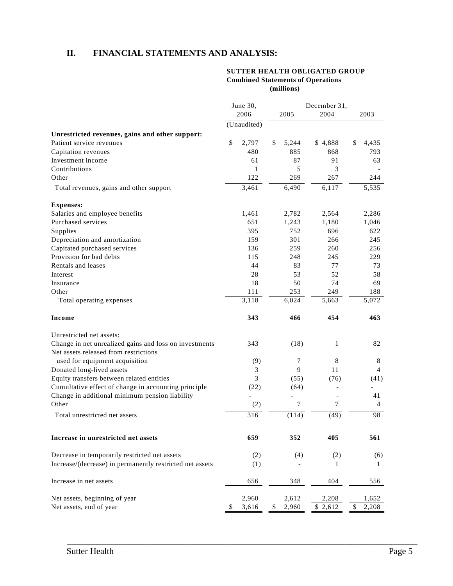# **II. FINANCIAL STATEMENTS AND ANALYSIS:**

#### **SUTTER HEALTH OBLIGATED GROUP Combined Statements of Operations (millions)**

|                                                          | June 30,<br>2006 |    | 2005   | December 31,<br>2004 | 2003 |                |
|----------------------------------------------------------|------------------|----|--------|----------------------|------|----------------|
|                                                          | (Unaudited)      |    |        |                      |      |                |
| Unrestricted revenues, gains and other support:          |                  |    |        |                      |      |                |
| Patient service revenues                                 | \$<br>2,797      | \$ | 5,244  | \$4,888              | \$   | 4,435          |
| Capitation revenues                                      | 480              |    | 885    | 868                  |      | 793            |
| Investment income                                        | 61               |    | 87     | 91                   |      | 63             |
| Contributions                                            | 1                |    | 5      | 3                    |      |                |
| Other                                                    | 122              |    | 269    | 267                  |      | 244            |
| Total revenues, gains and other support                  | 3,461            |    | 6,490  | 6,117                |      | 5,535          |
| <b>Expenses:</b>                                         |                  |    |        |                      |      |                |
| Salaries and employee benefits                           | 1,461            |    | 2,782  | 2,564                |      | 2,286          |
| Purchased services                                       | 651              |    | 1,243  | 1,180                |      | 1,046          |
| Supplies                                                 | 395              |    | 752    | 696                  |      | 622            |
| Depreciation and amortization                            | 159              |    | 301    | 266                  |      | 245            |
| Capitated purchased services                             | 136              |    | 259    | 260                  |      | 256            |
| Provision for bad debts                                  | 115              |    | 248    | 245                  |      | 229            |
| Rentals and leases                                       | 44               |    | 83     | 77                   |      | 73             |
| Interest                                                 | 28               |    | 53     | 52                   |      | 58             |
| Insurance                                                | 18               |    | 50     | 74                   |      | 69             |
| Other                                                    | 111              |    | 253    | 249                  |      | 188            |
| Total operating expenses                                 | 3,118            |    | 6,024  | 5,663                |      | 5,072          |
| Income                                                   | 343              |    | 466    | 454                  |      | 463            |
| Unrestricted net assets:                                 |                  |    |        |                      |      |                |
| Change in net unrealized gains and loss on investments   | 343              |    | (18)   | 1                    |      | 82             |
| Net assets released from restrictions                    |                  |    |        |                      |      |                |
| used for equipment acquisition                           | (9)              |    | 7      | 8                    |      | 8              |
| Donated long-lived assets                                | 3                |    | 9      | 11                   |      | $\overline{4}$ |
| Equity transfers between related entities                | 3                |    | (55)   | (76)                 |      | (41)           |
| Cumultative effect of change in accounting principle     | (22)             |    | (64)   |                      |      |                |
| Change in additional minimum pension liability           |                  |    |        |                      |      | 41             |
| Other                                                    | (2)              |    | $\tau$ | $\overline{7}$       |      | $\overline{4}$ |
| Total unrestricted net assets                            | 316              |    | (114)  | (49)                 |      | 98             |
| Increase in unrestricted net assets                      | 659              |    | 352    | 405                  |      | 561            |
|                                                          |                  |    |        |                      |      |                |
| Decrease in temporarily restricted net assets            | (2)              |    | (4)    | (2)                  |      | (6)            |
| Increase/(decrease) in permanently restricted net assets | (1)              |    |        | 1                    |      | 1              |
| Increase in net assets                                   | 656              |    | 348    | 404                  |      | 556            |
| Net assets, beginning of year                            | 2,960            |    | 2,612  | 2,208                |      | 1,652          |
| Net assets, end of year                                  | 3,616            | \$ | 2,960  | \$2,612              | \$   | 2,208          |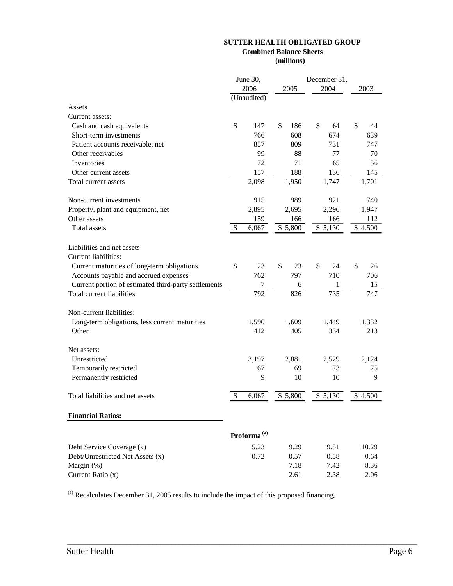#### **SUTTER HEALTH OBLIGATED GROUP Combined Balance Sheets**

**(millions)** 

| 2006<br>2005<br>2004<br>2003<br>(Unaudited)<br>Assets<br>Current assets:<br>\$<br>\$<br>\$<br>\$<br>Cash and cash equivalents<br>147<br>186<br>64<br>44<br>608<br>674<br>Short-term investments<br>766<br>639<br>857<br>809<br>731<br>747<br>Patient accounts receivable, net<br>99<br>Other receivables<br>88<br>77<br>70<br>72<br>65<br>Inventories<br>71<br>56<br>157<br>188<br>136<br>145<br>Other current assets<br>2,098<br>Total current assets<br>1,950<br>1,747<br>1,701<br>Non-current investments<br>915<br>989<br>921<br>740<br>2,895<br>2,695<br>2,296<br>1,947<br>Property, plant and equipment, net<br>Other assets<br>166<br>112<br>159<br>166<br><b>Total</b> assets<br>\$5,130<br>\$5,800<br>\$4,500<br>\$<br>6,067<br>Liabilities and net assets<br>Current liabilities:<br>\$<br>\$<br>\$<br>\$<br>Current maturities of long-term obligations<br>23<br>23<br>24<br>26<br>Accounts payable and accrued expenses<br>762<br>797<br>710<br>706<br>Current portion of estimated third-party settlements<br>$\overline{7}$<br>15<br>6<br>1<br>792<br>826<br>735<br>747<br>Total current liabilities<br>Non-current liabilities:<br>Long-term obligations, less current maturities<br>1,590<br>1,609<br>1,449<br>1,332<br>Other<br>405<br>334<br>213<br>412<br>Net assets:<br>Unrestricted<br>3,197<br>2,881<br>2,529<br>2,124<br>67<br>Temporarily restricted<br>69<br>73<br>75<br>9<br>Permanently restricted<br>10<br>10<br>9<br>\$5,130<br>Total liabilities and net assets<br>\$<br>6,067<br>\$5,800<br>\$4,500<br><b>Financial Ratios:</b><br>Proforma <sup>(a)</sup><br>Debt Service Coverage (x)<br>5.23<br>9.29<br>9.51<br>10.29<br>0.72<br>Debt/Unrestricted Net Assets (x)<br>0.57<br>0.58<br>0.64<br>7.18<br>Margin (%)<br>7.42<br>8.36<br>Current Ratio (x)<br>2.61<br>2.06<br>2.38 | June 30, |  |  |  | December 31, |  |  |  |
|----------------------------------------------------------------------------------------------------------------------------------------------------------------------------------------------------------------------------------------------------------------------------------------------------------------------------------------------------------------------------------------------------------------------------------------------------------------------------------------------------------------------------------------------------------------------------------------------------------------------------------------------------------------------------------------------------------------------------------------------------------------------------------------------------------------------------------------------------------------------------------------------------------------------------------------------------------------------------------------------------------------------------------------------------------------------------------------------------------------------------------------------------------------------------------------------------------------------------------------------------------------------------------------------------------------------------------------------------------------------------------------------------------------------------------------------------------------------------------------------------------------------------------------------------------------------------------------------------------------------------------------------------------------------------------------------------------------------------------------------------------------------------------------------------------------|----------|--|--|--|--------------|--|--|--|
|                                                                                                                                                                                                                                                                                                                                                                                                                                                                                                                                                                                                                                                                                                                                                                                                                                                                                                                                                                                                                                                                                                                                                                                                                                                                                                                                                                                                                                                                                                                                                                                                                                                                                                                                                                                                                |          |  |  |  |              |  |  |  |
|                                                                                                                                                                                                                                                                                                                                                                                                                                                                                                                                                                                                                                                                                                                                                                                                                                                                                                                                                                                                                                                                                                                                                                                                                                                                                                                                                                                                                                                                                                                                                                                                                                                                                                                                                                                                                |          |  |  |  |              |  |  |  |
|                                                                                                                                                                                                                                                                                                                                                                                                                                                                                                                                                                                                                                                                                                                                                                                                                                                                                                                                                                                                                                                                                                                                                                                                                                                                                                                                                                                                                                                                                                                                                                                                                                                                                                                                                                                                                |          |  |  |  |              |  |  |  |
|                                                                                                                                                                                                                                                                                                                                                                                                                                                                                                                                                                                                                                                                                                                                                                                                                                                                                                                                                                                                                                                                                                                                                                                                                                                                                                                                                                                                                                                                                                                                                                                                                                                                                                                                                                                                                |          |  |  |  |              |  |  |  |
|                                                                                                                                                                                                                                                                                                                                                                                                                                                                                                                                                                                                                                                                                                                                                                                                                                                                                                                                                                                                                                                                                                                                                                                                                                                                                                                                                                                                                                                                                                                                                                                                                                                                                                                                                                                                                |          |  |  |  |              |  |  |  |
|                                                                                                                                                                                                                                                                                                                                                                                                                                                                                                                                                                                                                                                                                                                                                                                                                                                                                                                                                                                                                                                                                                                                                                                                                                                                                                                                                                                                                                                                                                                                                                                                                                                                                                                                                                                                                |          |  |  |  |              |  |  |  |
|                                                                                                                                                                                                                                                                                                                                                                                                                                                                                                                                                                                                                                                                                                                                                                                                                                                                                                                                                                                                                                                                                                                                                                                                                                                                                                                                                                                                                                                                                                                                                                                                                                                                                                                                                                                                                |          |  |  |  |              |  |  |  |
|                                                                                                                                                                                                                                                                                                                                                                                                                                                                                                                                                                                                                                                                                                                                                                                                                                                                                                                                                                                                                                                                                                                                                                                                                                                                                                                                                                                                                                                                                                                                                                                                                                                                                                                                                                                                                |          |  |  |  |              |  |  |  |
|                                                                                                                                                                                                                                                                                                                                                                                                                                                                                                                                                                                                                                                                                                                                                                                                                                                                                                                                                                                                                                                                                                                                                                                                                                                                                                                                                                                                                                                                                                                                                                                                                                                                                                                                                                                                                |          |  |  |  |              |  |  |  |
|                                                                                                                                                                                                                                                                                                                                                                                                                                                                                                                                                                                                                                                                                                                                                                                                                                                                                                                                                                                                                                                                                                                                                                                                                                                                                                                                                                                                                                                                                                                                                                                                                                                                                                                                                                                                                |          |  |  |  |              |  |  |  |
|                                                                                                                                                                                                                                                                                                                                                                                                                                                                                                                                                                                                                                                                                                                                                                                                                                                                                                                                                                                                                                                                                                                                                                                                                                                                                                                                                                                                                                                                                                                                                                                                                                                                                                                                                                                                                |          |  |  |  |              |  |  |  |
|                                                                                                                                                                                                                                                                                                                                                                                                                                                                                                                                                                                                                                                                                                                                                                                                                                                                                                                                                                                                                                                                                                                                                                                                                                                                                                                                                                                                                                                                                                                                                                                                                                                                                                                                                                                                                |          |  |  |  |              |  |  |  |
|                                                                                                                                                                                                                                                                                                                                                                                                                                                                                                                                                                                                                                                                                                                                                                                                                                                                                                                                                                                                                                                                                                                                                                                                                                                                                                                                                                                                                                                                                                                                                                                                                                                                                                                                                                                                                |          |  |  |  |              |  |  |  |
|                                                                                                                                                                                                                                                                                                                                                                                                                                                                                                                                                                                                                                                                                                                                                                                                                                                                                                                                                                                                                                                                                                                                                                                                                                                                                                                                                                                                                                                                                                                                                                                                                                                                                                                                                                                                                |          |  |  |  |              |  |  |  |
|                                                                                                                                                                                                                                                                                                                                                                                                                                                                                                                                                                                                                                                                                                                                                                                                                                                                                                                                                                                                                                                                                                                                                                                                                                                                                                                                                                                                                                                                                                                                                                                                                                                                                                                                                                                                                |          |  |  |  |              |  |  |  |
|                                                                                                                                                                                                                                                                                                                                                                                                                                                                                                                                                                                                                                                                                                                                                                                                                                                                                                                                                                                                                                                                                                                                                                                                                                                                                                                                                                                                                                                                                                                                                                                                                                                                                                                                                                                                                |          |  |  |  |              |  |  |  |
|                                                                                                                                                                                                                                                                                                                                                                                                                                                                                                                                                                                                                                                                                                                                                                                                                                                                                                                                                                                                                                                                                                                                                                                                                                                                                                                                                                                                                                                                                                                                                                                                                                                                                                                                                                                                                |          |  |  |  |              |  |  |  |
|                                                                                                                                                                                                                                                                                                                                                                                                                                                                                                                                                                                                                                                                                                                                                                                                                                                                                                                                                                                                                                                                                                                                                                                                                                                                                                                                                                                                                                                                                                                                                                                                                                                                                                                                                                                                                |          |  |  |  |              |  |  |  |
|                                                                                                                                                                                                                                                                                                                                                                                                                                                                                                                                                                                                                                                                                                                                                                                                                                                                                                                                                                                                                                                                                                                                                                                                                                                                                                                                                                                                                                                                                                                                                                                                                                                                                                                                                                                                                |          |  |  |  |              |  |  |  |
|                                                                                                                                                                                                                                                                                                                                                                                                                                                                                                                                                                                                                                                                                                                                                                                                                                                                                                                                                                                                                                                                                                                                                                                                                                                                                                                                                                                                                                                                                                                                                                                                                                                                                                                                                                                                                |          |  |  |  |              |  |  |  |
|                                                                                                                                                                                                                                                                                                                                                                                                                                                                                                                                                                                                                                                                                                                                                                                                                                                                                                                                                                                                                                                                                                                                                                                                                                                                                                                                                                                                                                                                                                                                                                                                                                                                                                                                                                                                                |          |  |  |  |              |  |  |  |
|                                                                                                                                                                                                                                                                                                                                                                                                                                                                                                                                                                                                                                                                                                                                                                                                                                                                                                                                                                                                                                                                                                                                                                                                                                                                                                                                                                                                                                                                                                                                                                                                                                                                                                                                                                                                                |          |  |  |  |              |  |  |  |
|                                                                                                                                                                                                                                                                                                                                                                                                                                                                                                                                                                                                                                                                                                                                                                                                                                                                                                                                                                                                                                                                                                                                                                                                                                                                                                                                                                                                                                                                                                                                                                                                                                                                                                                                                                                                                |          |  |  |  |              |  |  |  |
|                                                                                                                                                                                                                                                                                                                                                                                                                                                                                                                                                                                                                                                                                                                                                                                                                                                                                                                                                                                                                                                                                                                                                                                                                                                                                                                                                                                                                                                                                                                                                                                                                                                                                                                                                                                                                |          |  |  |  |              |  |  |  |
|                                                                                                                                                                                                                                                                                                                                                                                                                                                                                                                                                                                                                                                                                                                                                                                                                                                                                                                                                                                                                                                                                                                                                                                                                                                                                                                                                                                                                                                                                                                                                                                                                                                                                                                                                                                                                |          |  |  |  |              |  |  |  |
|                                                                                                                                                                                                                                                                                                                                                                                                                                                                                                                                                                                                                                                                                                                                                                                                                                                                                                                                                                                                                                                                                                                                                                                                                                                                                                                                                                                                                                                                                                                                                                                                                                                                                                                                                                                                                |          |  |  |  |              |  |  |  |
|                                                                                                                                                                                                                                                                                                                                                                                                                                                                                                                                                                                                                                                                                                                                                                                                                                                                                                                                                                                                                                                                                                                                                                                                                                                                                                                                                                                                                                                                                                                                                                                                                                                                                                                                                                                                                |          |  |  |  |              |  |  |  |
|                                                                                                                                                                                                                                                                                                                                                                                                                                                                                                                                                                                                                                                                                                                                                                                                                                                                                                                                                                                                                                                                                                                                                                                                                                                                                                                                                                                                                                                                                                                                                                                                                                                                                                                                                                                                                |          |  |  |  |              |  |  |  |
|                                                                                                                                                                                                                                                                                                                                                                                                                                                                                                                                                                                                                                                                                                                                                                                                                                                                                                                                                                                                                                                                                                                                                                                                                                                                                                                                                                                                                                                                                                                                                                                                                                                                                                                                                                                                                |          |  |  |  |              |  |  |  |
|                                                                                                                                                                                                                                                                                                                                                                                                                                                                                                                                                                                                                                                                                                                                                                                                                                                                                                                                                                                                                                                                                                                                                                                                                                                                                                                                                                                                                                                                                                                                                                                                                                                                                                                                                                                                                |          |  |  |  |              |  |  |  |
|                                                                                                                                                                                                                                                                                                                                                                                                                                                                                                                                                                                                                                                                                                                                                                                                                                                                                                                                                                                                                                                                                                                                                                                                                                                                                                                                                                                                                                                                                                                                                                                                                                                                                                                                                                                                                |          |  |  |  |              |  |  |  |
|                                                                                                                                                                                                                                                                                                                                                                                                                                                                                                                                                                                                                                                                                                                                                                                                                                                                                                                                                                                                                                                                                                                                                                                                                                                                                                                                                                                                                                                                                                                                                                                                                                                                                                                                                                                                                |          |  |  |  |              |  |  |  |
|                                                                                                                                                                                                                                                                                                                                                                                                                                                                                                                                                                                                                                                                                                                                                                                                                                                                                                                                                                                                                                                                                                                                                                                                                                                                                                                                                                                                                                                                                                                                                                                                                                                                                                                                                                                                                |          |  |  |  |              |  |  |  |
|                                                                                                                                                                                                                                                                                                                                                                                                                                                                                                                                                                                                                                                                                                                                                                                                                                                                                                                                                                                                                                                                                                                                                                                                                                                                                                                                                                                                                                                                                                                                                                                                                                                                                                                                                                                                                |          |  |  |  |              |  |  |  |
|                                                                                                                                                                                                                                                                                                                                                                                                                                                                                                                                                                                                                                                                                                                                                                                                                                                                                                                                                                                                                                                                                                                                                                                                                                                                                                                                                                                                                                                                                                                                                                                                                                                                                                                                                                                                                |          |  |  |  |              |  |  |  |

 $^{(a)}$  Recalculates December 31, 2005 results to include the impact of this proposed financing.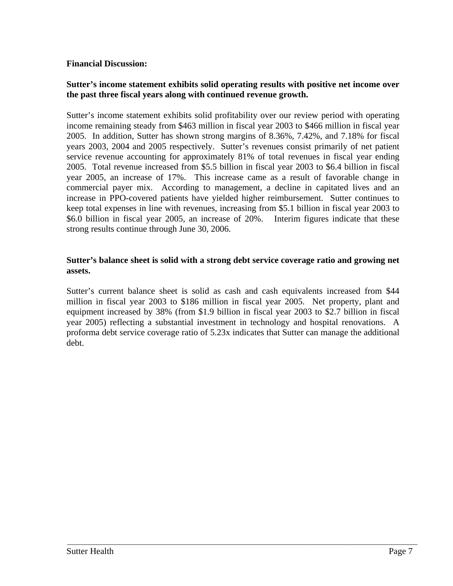### **Financial Discussion:**

### **Sutter's income statement exhibits solid operating results with positive net income over the past three fiscal years along with continued revenue growth.**

Sutter's income statement exhibits solid profitability over our review period with operating income remaining steady from \$463 million in fiscal year 2003 to \$466 million in fiscal year 2005. In addition, Sutter has shown strong margins of 8.36%, 7.42%, and 7.18% for fiscal years 2003, 2004 and 2005 respectively. Sutter's revenues consist primarily of net patient service revenue accounting for approximately 81% of total revenues in fiscal year ending 2005. Total revenue increased from \$5.5 billion in fiscal year 2003 to \$6.4 billion in fiscal year 2005, an increase of 17%. This increase came as a result of favorable change in commercial payer mix. According to management, a decline in capitated lives and an increase in PPO-covered patients have yielded higher reimbursement. Sutter continues to keep total expenses in line with revenues, increasing from \$5.1 billion in fiscal year 2003 to \$6.0 billion in fiscal year 2005, an increase of 20%. Interim figures indicate that these strong results continue through June 30, 2006.

### **Sutter's balance sheet is solid with a strong debt service coverage ratio and growing net assets.**

Sutter's current balance sheet is solid as cash and cash equivalents increased from \$44 million in fiscal year 2003 to \$186 million in fiscal year 2005. Net property, plant and equipment increased by 38% (from \$1.9 billion in fiscal year 2003 to \$2.7 billion in fiscal year 2005) reflecting a substantial investment in technology and hospital renovations. A proforma debt service coverage ratio of 5.23x indicates that Sutter can manage the additional debt.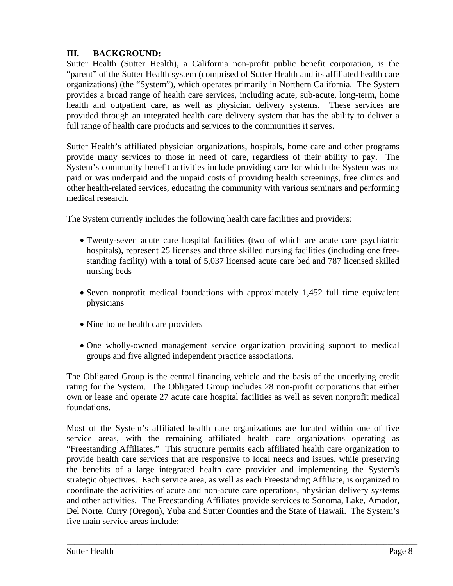# **III. BACKGROUND:**

Sutter Health (Sutter Health), a California non-profit public benefit corporation, is the "parent" of the Sutter Health system (comprised of Sutter Health and its affiliated health care organizations) (the "System"), which operates primarily in Northern California. The System provides a broad range of health care services, including acute, sub-acute, long-term, home health and outpatient care, as well as physician delivery systems. These services are provided through an integrated health care delivery system that has the ability to deliver a full range of health care products and services to the communities it serves.

Sutter Health's affiliated physician organizations, hospitals, home care and other programs provide many services to those in need of care, regardless of their ability to pay. The System's community benefit activities include providing care for which the System was not paid or was underpaid and the unpaid costs of providing health screenings, free clinics and other health-related services, educating the community with various seminars and performing medical research.

The System currently includes the following health care facilities and providers:

- Twenty-seven acute care hospital facilities (two of which are acute care psychiatric hospitals), represent 25 licenses and three skilled nursing facilities (including one freestanding facility) with a total of 5,037 licensed acute care bed and 787 licensed skilled nursing beds
- Seven nonprofit medical foundations with approximately 1,452 full time equivalent physicians
- Nine home health care providers
- One wholly-owned management service organization providing support to medical groups and five aligned independent practice associations.

The Obligated Group is the central financing vehicle and the basis of the underlying credit rating for the System. The Obligated Group includes 28 non-profit corporations that either own or lease and operate 27 acute care hospital facilities as well as seven nonprofit medical foundations.

Most of the System's affiliated health care organizations are located within one of five service areas, with the remaining affiliated health care organizations operating as "Freestanding Affiliates." This structure permits each affiliated health care organization to provide health care services that are responsive to local needs and issues, while preserving the benefits of a large integrated health care provider and implementing the System's strategic objectives. Each service area, as well as each Freestanding Affiliate, is organized to coordinate the activities of acute and non-acute care operations, physician delivery systems and other activities. The Freestanding Affiliates provide services to Sonoma, Lake, Amador, Del Norte, Curry (Oregon), Yuba and Sutter Counties and the State of Hawaii. The System's five main service areas include: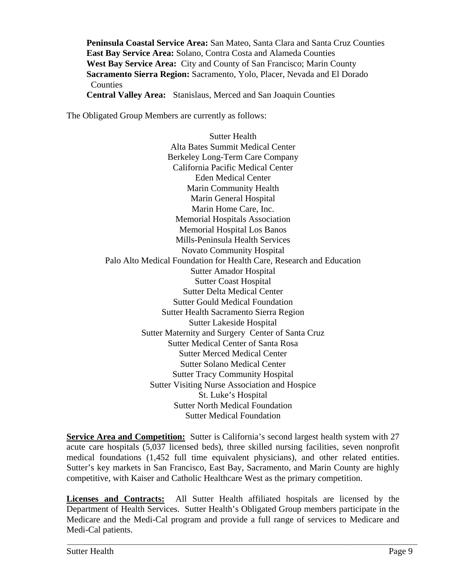**Peninsula Coastal Service Area:** San Mateo, Santa Clara and Santa Cruz Counties **East Bay Service Area:** Solano, Contra Costa and Alameda Counties **West Bay Service Area:** City and County of San Francisco; Marin County **Sacramento Sierra Region:** Sacramento, Yolo, Placer, Nevada and El Dorado **Counties** 

**Central Valley Area:** Stanislaus, Merced and San Joaquin Counties

The Obligated Group Members are currently as follows:

Sutter Health Alta Bates Summit Medical Center Berkeley Long-Term Care Company California Pacific Medical Center Eden Medical Center Marin Community Health Marin General Hospital Marin Home Care, Inc. Memorial Hospitals Association Memorial Hospital Los Banos Mills-Peninsula Health Services Novato Community Hospital Palo Alto Medical Foundation for Health Care, Research and Education Sutter Amador Hospital Sutter Coast Hospital Sutter Delta Medical Center Sutter Gould Medical Foundation Sutter Health Sacramento Sierra Region Sutter Lakeside Hospital Sutter Maternity and Surgery Center of Santa Cruz Sutter Medical Center of Santa Rosa Sutter Merced Medical Center Sutter Solano Medical Center Sutter Tracy Community Hospital Sutter Visiting Nurse Association and Hospice St. Luke's Hospital Sutter North Medical Foundation Sutter Medical Foundation

**Service Area and Competition:** Sutter is California's second largest health system with 27 acute care hospitals (5,037 licensed beds), three skilled nursing facilities, seven nonprofit medical foundations (1,452 full time equivalent physicians), and other related entities. Sutter's key markets in San Francisco, East Bay, Sacramento, and Marin County are highly competitive, with Kaiser and Catholic Healthcare West as the primary competition.

**Licenses and Contracts:** All Sutter Health affiliated hospitals are licensed by the Department of Health Services. Sutter Health's Obligated Group members participate in the Medicare and the Medi-Cal program and provide a full range of services to Medicare and Medi-Cal patients.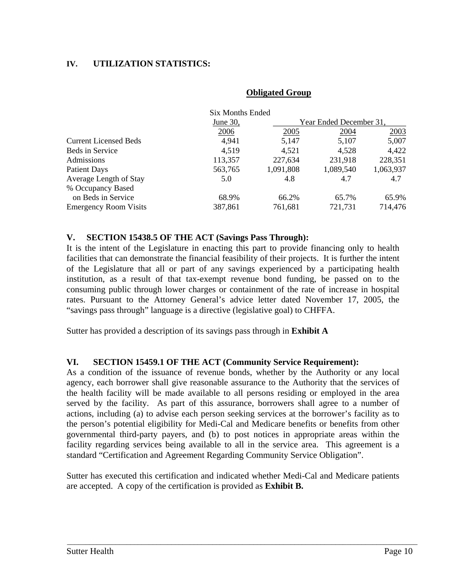# **IV. UTILIZATION STATISTICS:**

#### **Obligated Group**

|                              | Six Months Ended |           |                         |           |
|------------------------------|------------------|-----------|-------------------------|-----------|
|                              | June 30,         |           | Year Ended December 31, |           |
|                              | 2006             | 2005      | 2004                    | 2003      |
| <b>Current Licensed Beds</b> | 4,941            | 5,147     | 5,107                   | 5,007     |
| Beds in Service              | 4,519            | 4,521     | 4,528                   | 4,422     |
| <b>Admissions</b>            | 113,357          | 227,634   | 231,918                 | 228,351   |
| <b>Patient Days</b>          | 563,765          | 1,091,808 | 1,089,540               | 1,063,937 |
| Average Length of Stay       | 5.0              | 4.8       | 4.7                     | 4.7       |
| % Occupancy Based            |                  |           |                         |           |
| on Beds in Service           | 68.9%            | 66.2%     | 65.7%                   | 65.9%     |
| <b>Emergency Room Visits</b> | 387,861          | 761,681   | 721,731                 | 714,476   |

#### **V. SECTION 15438.5 OF THE ACT (Savings Pass Through):**

It is the intent of the Legislature in enacting this part to provide financing only to health facilities that can demonstrate the financial feasibility of their projects. It is further the intent of the Legislature that all or part of any savings experienced by a participating health institution, as a result of that tax-exempt revenue bond funding, be passed on to the consuming public through lower charges or containment of the rate of increase in hospital rates. Pursuant to the Attorney General's advice letter dated November 17, 2005, the "savings pass through" language is a directive (legislative goal) to CHFFA.

Sutter has provided a description of its savings pass through in **Exhibit A** 

### **VI. SECTION 15459.1 OF THE ACT (Community Service Requirement):**

As a condition of the issuance of revenue bonds, whether by the Authority or any local agency, each borrower shall give reasonable assurance to the Authority that the services of the health facility will be made available to all persons residing or employed in the area served by the facility. As part of this assurance, borrowers shall agree to a number of actions, including (a) to advise each person seeking services at the borrower's facility as to the person's potential eligibility for Medi-Cal and Medicare benefits or benefits from other governmental third-party payers, and (b) to post notices in appropriate areas within the facility regarding services being available to all in the service area. This agreement is a standard "Certification and Agreement Regarding Community Service Obligation".

Sutter has executed this certification and indicated whether Medi-Cal and Medicare patients are accepted. A copy of the certification is provided as **Exhibit B.**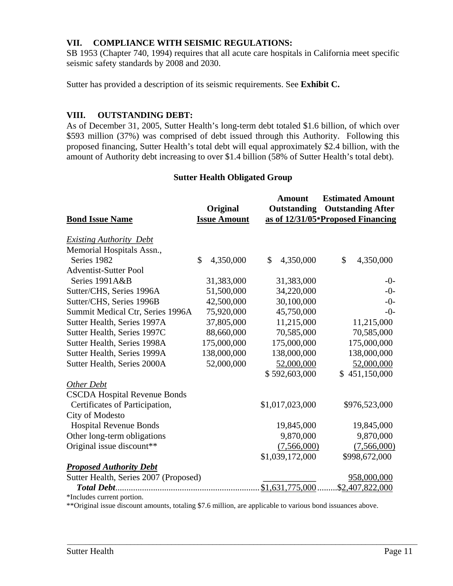# **VII. COMPLIANCE WITH SEISMIC REGULATIONS:**

SB 1953 (Chapter 740, 1994) requires that all acute care hospitals in California meet specific seismic safety standards by 2008 and 2030.

Sutter has provided a description of its seismic requirements. See **Exhibit C.** 

### **VIII. OUTSTANDING DEBT:**

As of December 31, 2005, Sutter Health's long-term debt totaled \$1.6 billion, of which over \$593 million (37%) was comprised of debt issued through this Authority. Following this proposed financing, Sutter Health's total debt will equal approximately \$2.4 billion, with the amount of Authority debt increasing to over \$1.4 billion (58% of Sutter Health's total debt).

#### **Sutter Health Obligated Group**

|                                       |                     | Amount             | <b>Estimated Amount</b>           |
|---------------------------------------|---------------------|--------------------|-----------------------------------|
|                                       | Original            | <b>Outstanding</b> | <b>Outstanding After</b>          |
| <b>Bond Issue Name</b>                | <b>Issue Amount</b> |                    | as of 12/31/05*Proposed Financing |
| <b>Existing Authority Debt</b>        |                     |                    |                                   |
| Memorial Hospitals Assn.,             |                     |                    |                                   |
| Series 1982                           | \$<br>4,350,000     | \$<br>4,350,000    | \$<br>4,350,000                   |
| <b>Adventist-Sutter Pool</b>          |                     |                    |                                   |
| Series 1991A&B                        | 31,383,000          | 31,383,000         | $-0-$                             |
| Sutter/CHS, Series 1996A              | 51,500,000          | 34,220,000         | $-0-$                             |
| Sutter/CHS, Series 1996B              | 42,500,000          | 30,100,000         | $-0-$                             |
| Summit Medical Ctr, Series 1996A      | 75,920,000          | 45,750,000         | $-0-$                             |
| Sutter Health, Series 1997A           | 37,805,000          | 11,215,000         | 11,215,000                        |
| Sutter Health, Series 1997C           | 88,660,000          | 70,585,000         | 70,585,000                        |
| Sutter Health, Series 1998A           | 175,000,000         | 175,000,000        | 175,000,000                       |
| Sutter Health, Series 1999A           | 138,000,000         | 138,000,000        | 138,000,000                       |
| Sutter Health, Series 2000A           | 52,000,000          | 52,000,000         | 52,000,000                        |
|                                       |                     | \$592,603,000      | \$451,150,000                     |
| Other Debt                            |                     |                    |                                   |
| <b>CSCDA Hospital Revenue Bonds</b>   |                     |                    |                                   |
| Certificates of Participation,        |                     | \$1,017,023,000    | \$976,523,000                     |
| City of Modesto                       |                     |                    |                                   |
| <b>Hospital Revenue Bonds</b>         |                     | 19,845,000         | 19,845,000                        |
| Other long-term obligations           |                     | 9,870,000          | 9,870,000                         |
| Original issue discount**             |                     | (7,566,000)        | (7,566,000)                       |
|                                       |                     | \$1,039,172,000    | \$998,672,000                     |
| <b>Proposed Authority Debt</b>        |                     |                    |                                   |
| Sutter Health, Series 2007 (Proposed) |                     |                    | 958,000,000                       |
|                                       |                     | \$1,631,775,000.   | \$2,407,822,000                   |
| *Includes current portion.            |                     |                    |                                   |

\*\*Original issue discount amounts, totaling \$7.6 million, are applicable to various bond issuances above.